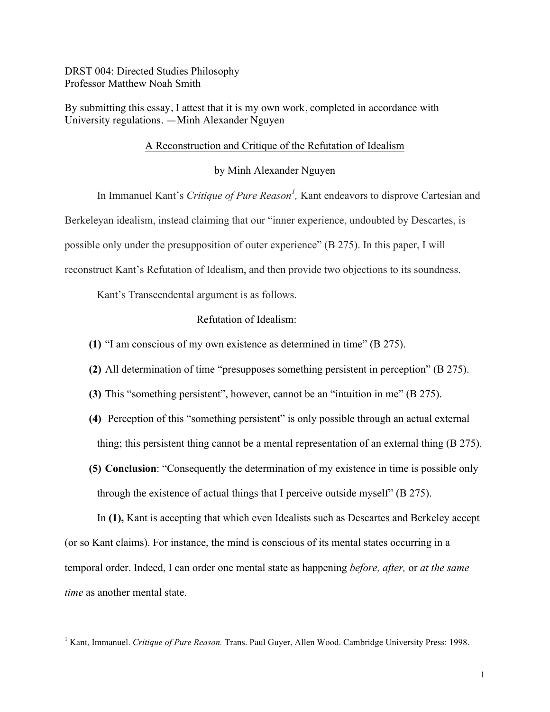DRST 004: Directed Studies Philosophy Professor Matthew Noah Smith

By submitting this essay, I attest that it is my own work, completed in accordance with University regulations. —Minh Alexander Nguyen

## A Reconstruction and Critique of the Refutation of Idealism

by Minh Alexander Nguyen

In Immanuel Kant's *Critique of Pure Reason<sup>1</sup>*, Kant endeavors to disprove Cartesian and Berkeleyan idealism, instead claiming that our "inner experience, undoubted by Descartes, is possible only under the presupposition of outer experience" (B 275). In this paper, I will reconstruct Kant's Refutation of Idealism, and then provide two objections to its soundness.

Kant's Transcendental argument is as follows.

Refutation of Idealism:

- **(1)** "I am conscious of my own existence as determined in time" (B 275).
- **(2)** All determination of time "presupposes something persistent in perception" (B 275).
- **(3)** This "something persistent", however, cannot be an "intuition in me" (B 275).
- **(4)** Perception of this "something persistent" is only possible through an actual external thing; this persistent thing cannot be a mental representation of an external thing (B 275).
- **(5) Conclusion**: "Consequently the determination of my existence in time is possible only through the existence of actual things that I perceive outside myself" (B 275).

In **(1),** Kant is accepting that which even Idealists such as Descartes and Berkeley accept (or so Kant claims). For instance, the mind is conscious of its mental states occurring in a temporal order. Indeed, I can order one mental state as happening *before, after,* or *at the same time* as another mental state.

<sup>&</sup>lt;sup>1</sup> Kant, Immanuel. *Critique of Pure Reason*. Trans. Paul Guyer, Allen Wood. Cambridge University Press: 1998.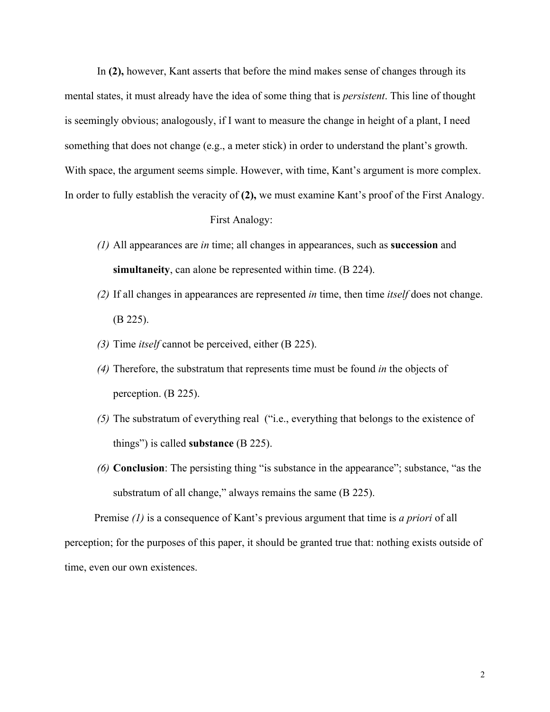In **(2),** however, Kant asserts that before the mind makes sense of changes through its mental states, it must already have the idea of some thing that is *persistent*. This line of thought is seemingly obvious; analogously, if I want to measure the change in height of a plant, I need something that does not change (e.g., a meter stick) in order to understand the plant's growth. With space, the argument seems simple. However, with time, Kant's argument is more complex. In order to fully establish the veracity of **(2),** we must examine Kant's proof of the First Analogy.

## First Analogy:

- *(1)* All appearances are *in* time; all changes in appearances, such as **succession** and **simultaneity**, can alone be represented within time. (B 224).
- *(2)* If all changes in appearances are represented *in* time, then time *itself* does not change. (B 225).
- *(3)* Time *itself* cannot be perceived, either (B 225).
- *(4)* Therefore, the substratum that represents time must be found *in* the objects of perception. (B 225).
- *(5)* The substratum of everything real ("i.e., everything that belongs to the existence of things") is called **substance** (B 225).
- *(6)* **Conclusion**: The persisting thing "is substance in the appearance"; substance, "as the substratum of all change," always remains the same (B 225).

 Premise *(1)* is a consequence of Kant's previous argument that time is *a priori* of all perception; for the purposes of this paper, it should be granted true that: nothing exists outside of time, even our own existences.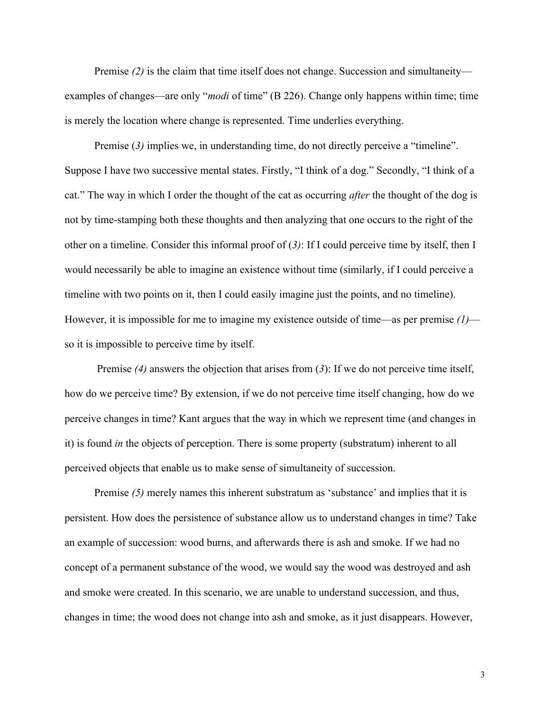Premise *(2)* is the claim that time itself does not change. Succession and simultaneity examples of changes—are only "*modi* of time" (B 226). Change only happens within time; time is merely the location where change is represented. Time underlies everything.

Premise (3) implies we, in understanding time, do not directly perceive a "timeline". Suppose I have two successive mental states. Firstly, "I think of a dog." Secondly, "I think of a cat." The way in which I order the thought of the cat as occurring *after* the thought of the dog is not by time-stamping both these thoughts and then analyzing that one occurs to the right of the other on a timeline. Consider this informal proof of (*3)*: If I could perceive time by itself, then I would necessarily be able to imagine an existence without time (similarly, if I could perceive a timeline with two points on it, then I could easily imagine just the points, and no timeline). However, it is impossible for me to imagine my existence outside of time—as per premise *(1)* so it is impossible to perceive time by itself.

 Premise *(4)* answers the objection that arises from (*3*): If we do not perceive time itself, how do we perceive time? By extension, if we do not perceive time itself changing, how do we perceive changes in time? Kant argues that the way in which we represent time (and changes in it) is found *in* the objects of perception. There is some property (substratum) inherent to all perceived objects that enable us to make sense of simultaneity of succession.

Premise (5) merely names this inherent substratum as 'substance' and implies that it is persistent. How does the persistence of substance allow us to understand changes in time? Take an example of succession: wood burns, and afterwards there is ash and smoke. If we had no concept of a permanent substance of the wood, we would say the wood was destroyed and ash and smoke were created. In this scenario, we are unable to understand succession, and thus, changes in time; the wood does not change into ash and smoke, as it just disappears. However,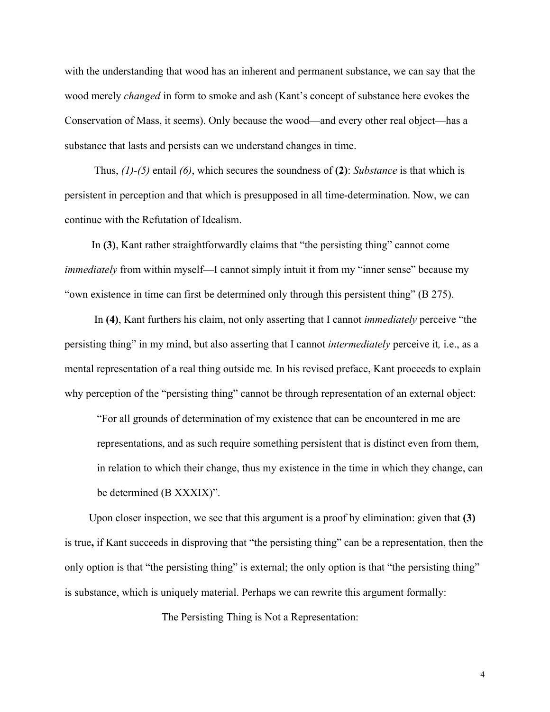with the understanding that wood has an inherent and permanent substance, we can say that the wood merely *changed* in form to smoke and ash (Kant's concept of substance here evokes the Conservation of Mass, it seems). Only because the wood—and every other real object—has a substance that lasts and persists can we understand changes in time.

 Thus, *(1)*-*(5)* entail *(6)*, which secures the soundness of **(2)**: *Substance* is that which is persistent in perception and that which is presupposed in all time-determination. Now, we can continue with the Refutation of Idealism.

 In **(3)**, Kant rather straightforwardly claims that "the persisting thing" cannot come *immediately* from within myself—I cannot simply intuit it from my "inner sense" because my "own existence in time can first be determined only through this persistent thing" (B 275).

 In **(4)**, Kant furthers his claim, not only asserting that I cannot *immediately* perceive "the persisting thing" in my mind, but also asserting that I cannot *intermediately* perceive it*,* i.e., as a mental representation of a real thing outside me*.* In his revised preface, Kant proceeds to explain why perception of the "persisting thing" cannot be through representation of an external object:

"For all grounds of determination of my existence that can be encountered in me are representations, and as such require something persistent that is distinct even from them, in relation to which their change, thus my existence in the time in which they change, can be determined (B XXXIX)".

 Upon closer inspection, we see that this argument is a proof by elimination: given that **(3)**  is true**,** if Kant succeeds in disproving that "the persisting thing" can be a representation, then the only option is that "the persisting thing" is external; the only option is that "the persisting thing" is substance, which is uniquely material. Perhaps we can rewrite this argument formally:

The Persisting Thing is Not a Representation:

4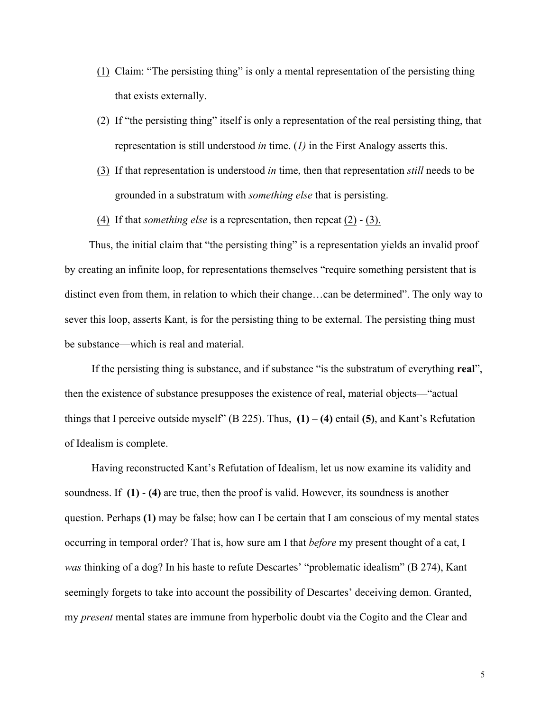- (1) Claim: "The persisting thing" is only a mental representation of the persisting thing that exists externally.
- (2) If "the persisting thing" itself is only a representation of the real persisting thing, that representation is still understood *in* time. (*1)* in the First Analogy asserts this.
- (3) If that representation is understood *in* time, then that representation *still* needs to be grounded in a substratum with *something else* that is persisting.
- (4) If that *something else* is a representation, then repeat (2) (3).

 Thus, the initial claim that "the persisting thing" is a representation yields an invalid proof by creating an infinite loop, for representations themselves "require something persistent that is distinct even from them, in relation to which their change…can be determined". The only way to sever this loop, asserts Kant, is for the persisting thing to be external. The persisting thing must be substance—which is real and material.

 If the persisting thing is substance, and if substance "is the substratum of everything **real**", then the existence of substance presupposes the existence of real, material objects—"actual things that I perceive outside myself"  $(B 225)$ . Thus,  $(1) - (4)$  entail  $(5)$ , and Kant's Refutation of Idealism is complete.

 Having reconstructed Kant's Refutation of Idealism, let us now examine its validity and soundness. If **(1)** - **(4)** are true, then the proof is valid. However, its soundness is another question. Perhaps **(1)** may be false; how can I be certain that I am conscious of my mental states occurring in temporal order? That is, how sure am I that *before* my present thought of a cat, I *was* thinking of a dog? In his haste to refute Descartes' "problematic idealism" (B 274), Kant seemingly forgets to take into account the possibility of Descartes' deceiving demon. Granted, my *present* mental states are immune from hyperbolic doubt via the Cogito and the Clear and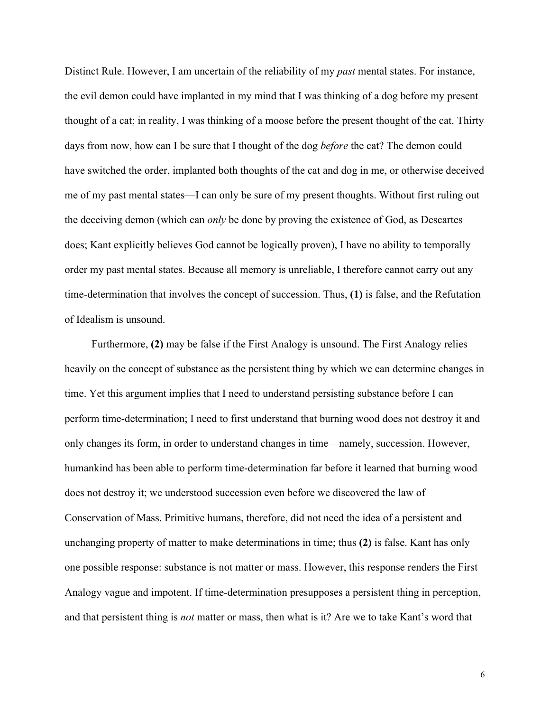Distinct Rule. However, I am uncertain of the reliability of my *past* mental states. For instance, the evil demon could have implanted in my mind that I was thinking of a dog before my present thought of a cat; in reality, I was thinking of a moose before the present thought of the cat. Thirty days from now, how can I be sure that I thought of the dog *before* the cat? The demon could have switched the order, implanted both thoughts of the cat and dog in me, or otherwise deceived me of my past mental states—I can only be sure of my present thoughts. Without first ruling out the deceiving demon (which can *only* be done by proving the existence of God, as Descartes does; Kant explicitly believes God cannot be logically proven), I have no ability to temporally order my past mental states. Because all memory is unreliable, I therefore cannot carry out any time-determination that involves the concept of succession. Thus, **(1)** is false, and the Refutation of Idealism is unsound.

 Furthermore, **(2)** may be false if the First Analogy is unsound. The First Analogy relies heavily on the concept of substance as the persistent thing by which we can determine changes in time. Yet this argument implies that I need to understand persisting substance before I can perform time-determination; I need to first understand that burning wood does not destroy it and only changes its form, in order to understand changes in time—namely, succession. However, humankind has been able to perform time-determination far before it learned that burning wood does not destroy it; we understood succession even before we discovered the law of Conservation of Mass. Primitive humans, therefore, did not need the idea of a persistent and unchanging property of matter to make determinations in time; thus **(2)** is false. Kant has only one possible response: substance is not matter or mass. However, this response renders the First Analogy vague and impotent. If time-determination presupposes a persistent thing in perception, and that persistent thing is *not* matter or mass, then what is it? Are we to take Kant's word that

6